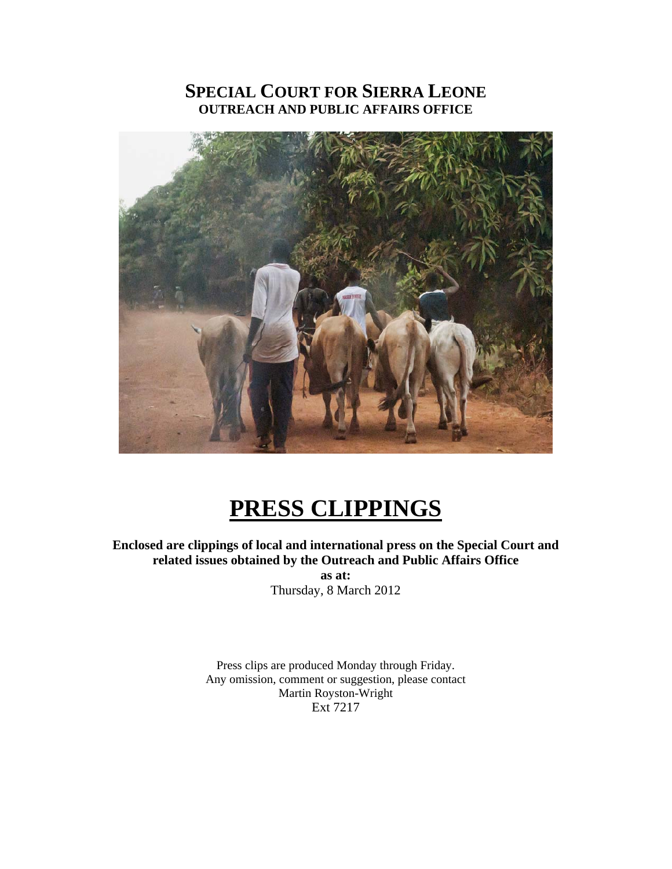# **SPECIAL COURT FOR SIERRA LEONE OUTREACH AND PUBLIC AFFAIRS OFFICE**



# **PRESS CLIPPINGS**

**Enclosed are clippings of local and international press on the Special Court and related issues obtained by the Outreach and Public Affairs Office** 

**as at:**  Thursday, 8 March 2012

Press clips are produced Monday through Friday. Any omission, comment or suggestion, please contact Martin Royston-Wright Ext 7217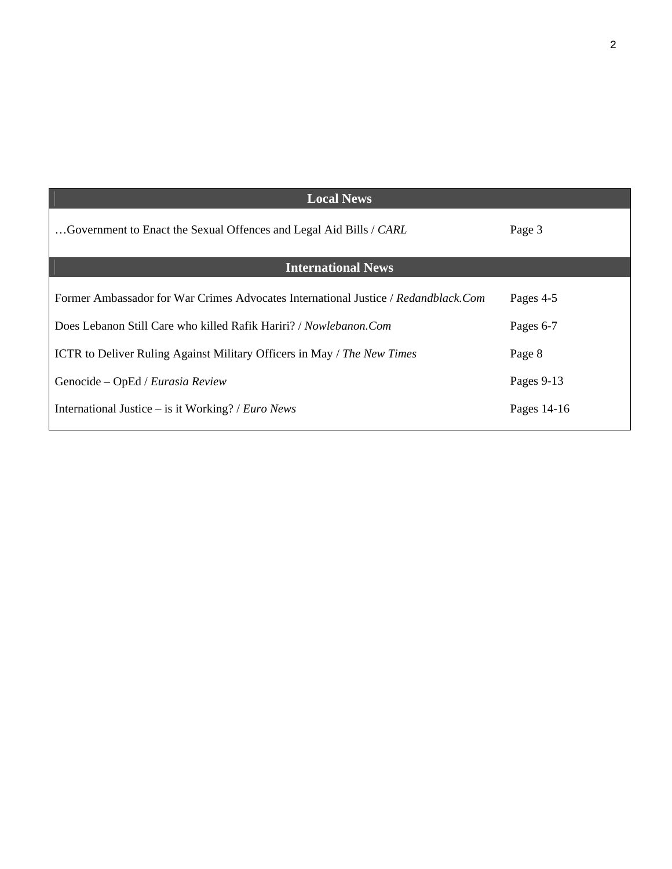| <b>Local News</b>                                                                  |             |
|------------------------------------------------------------------------------------|-------------|
| Government to Enact the Sexual Offences and Legal Aid Bills / CARL                 | Page 3      |
| <b>International News</b>                                                          |             |
| Former Ambassador for War Crimes Advocates International Justice / Redandblack.Com | Pages 4-5   |
| Does Lebanon Still Care who killed Rafik Hariri? / Nowlebanon.Com                  | Pages 6-7   |
| <b>ICTR</b> to Deliver Ruling Against Military Officers in May / The New Times     | Page 8      |
| Genocide - OpEd / Eurasia Review                                                   | Pages 9-13  |
| International Justice – is it Working? / <i>Euro News</i>                          | Pages 14-16 |
|                                                                                    |             |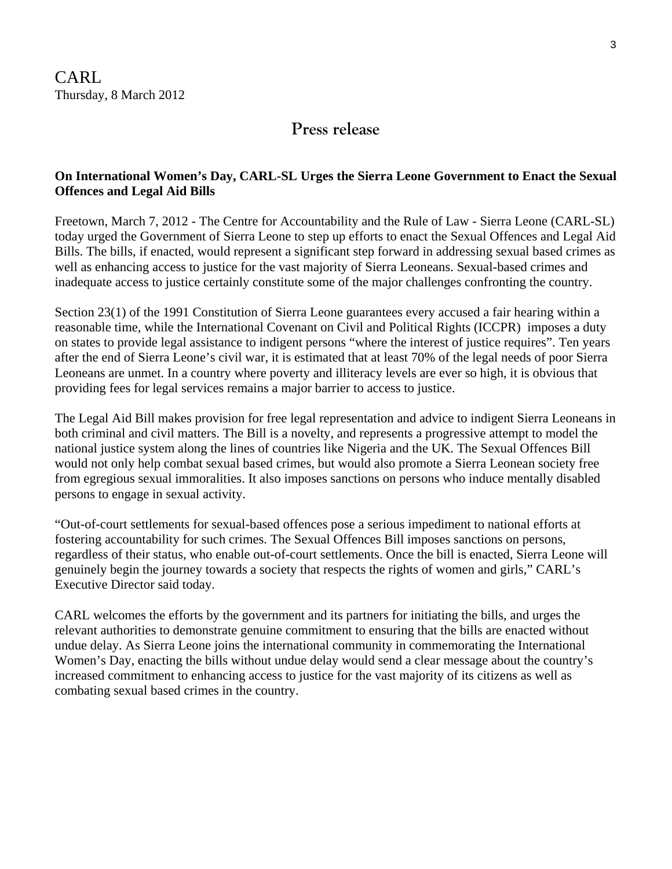## **Press release**

## **On International Women's Day, CARL-SL Urges the Sierra Leone Government to Enact the Sexual Offences and Legal Aid Bills**

Freetown, March 7, 2012 - The Centre for Accountability and the Rule of Law - Sierra Leone (CARL-SL) today urged the Government of Sierra Leone to step up efforts to enact the Sexual Offences and Legal Aid Bills. The bills, if enacted, would represent a significant step forward in addressing sexual based crimes as well as enhancing access to justice for the vast majority of Sierra Leoneans. Sexual-based crimes and inadequate access to justice certainly constitute some of the major challenges confronting the country.

Section 23(1) of the 1991 Constitution of Sierra Leone guarantees every accused a fair hearing within a reasonable time, while the International Covenant on Civil and Political Rights (ICCPR) imposes a duty on states to provide legal assistance to indigent persons "where the interest of justice requires". Ten years after the end of Sierra Leone's civil war, it is estimated that at least 70% of the legal needs of poor Sierra Leoneans are unmet. In a country where poverty and illiteracy levels are ever so high, it is obvious that providing fees for legal services remains a major barrier to access to justice.

The Legal Aid Bill makes provision for free legal representation and advice to indigent Sierra Leoneans in both criminal and civil matters. The Bill is a novelty, and represents a progressive attempt to model the national justice system along the lines of countries like Nigeria and the UK. The Sexual Offences Bill would not only help combat sexual based crimes, but would also promote a Sierra Leonean society free from egregious sexual immoralities. It also imposes sanctions on persons who induce mentally disabled persons to engage in sexual activity.

"Out-of-court settlements for sexual-based offences pose a serious impediment to national efforts at fostering accountability for such crimes. The Sexual Offences Bill imposes sanctions on persons, regardless of their status, who enable out-of-court settlements. Once the bill is enacted, Sierra Leone will genuinely begin the journey towards a society that respects the rights of women and girls," CARL's Executive Director said today.

CARL welcomes the efforts by the government and its partners for initiating the bills, and urges the relevant authorities to demonstrate genuine commitment to ensuring that the bills are enacted without undue delay. As Sierra Leone joins the international community in commemorating the International Women's Day, enacting the bills without undue delay would send a clear message about the country's increased commitment to enhancing access to justice for the vast majority of its citizens as well as combating sexual based crimes in the country.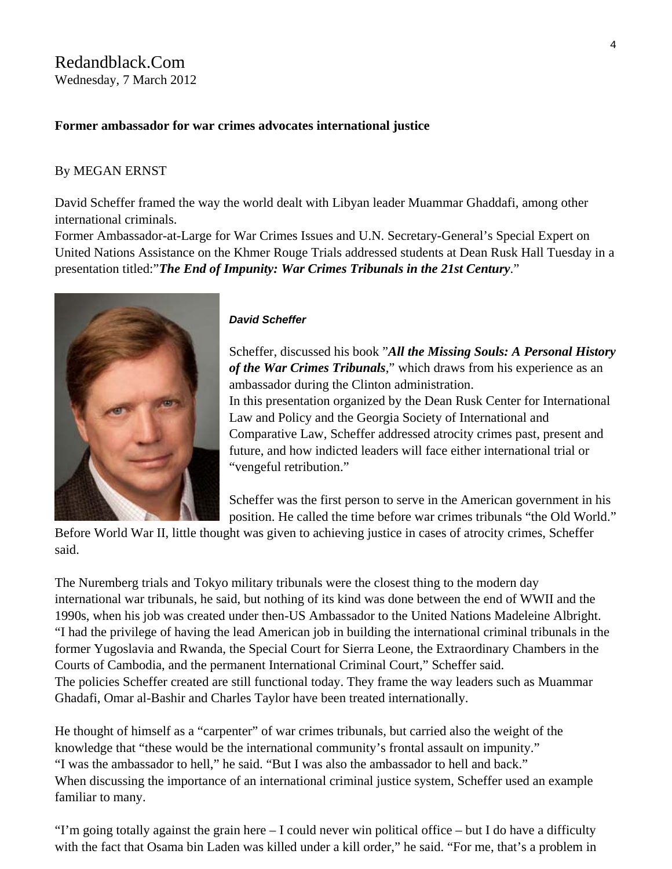## Redandblack.Com Wednesday, 7 March 2012

#### **Former ambassador for war crimes advocates international justice**

#### By [MEGAN ERNST](http://redandblack.com/author/megan-ernst/)

David Scheffer framed the way the world dealt with Libyan leader Muammar Ghaddafi, among other international criminals.

Former Ambassador-at-Large for War Crimes Issues and U.N. Secretary-General's Special Expert on United Nations Assistance on the Khmer Rouge Trials addressed students at Dean Rusk Hall Tuesday in a presentation titled:"*The End of Impunity: War Crimes Tribunals in the 21st Century*."



#### *David Scheffer*

Scheffer, discussed his book "*All the Missing Souls: A Personal History of the War Crimes Tribunals*," which draws from his experience as an ambassador during the Clinton administration. In this presentation organized by the Dean Rusk Center for International Law and Policy and the Georgia Society of International and Comparative Law, Scheffer addressed atrocity crimes past, present and future, and how indicted leaders will face either international trial or "vengeful retribution."

Scheffer was the first person to serve in the American government in his position. He called the time before war crimes tribunals "the Old World."

Before World War II, little thought was given to achieving justice in cases of atrocity crimes, Scheffer said.

The Nuremberg trials and Tokyo military tribunals were the closest thing to the modern day international war tribunals, he said, but nothing of its kind was done between the end of WWII and the 1990s, when his job was created under then-US Ambassador to the United Nations Madeleine Albright. "I had the privilege of having the lead American job in building the international criminal tribunals in the former Yugoslavia and Rwanda, the Special Court for Sierra Leone, the Extraordinary Chambers in the Courts of Cambodia, and the permanent International Criminal Court," Scheffer said. The policies Scheffer created are still functional today. They frame the way leaders such as Muammar Ghadafi, Omar al-Bashir and Charles Taylor have been treated internationally.

He thought of himself as a "carpenter" of war crimes tribunals, but carried also the weight of the knowledge that "these would be the international community's frontal assault on impunity." "I was the ambassador to hell," he said. "But I was also the ambassador to hell and back." When discussing the importance of an international criminal justice system, Scheffer used an example familiar to many.

"I'm going totally against the grain here – I could never win political office – but I do have a difficulty with the fact that Osama bin Laden was killed under a kill order," he said. "For me, that's a problem in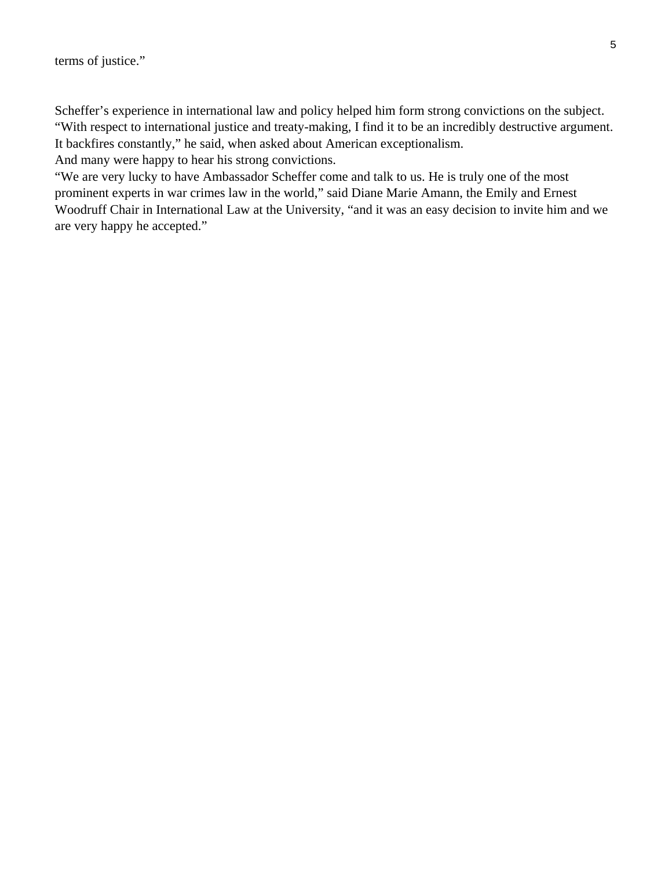Scheffer's experience in international law and policy helped him form strong convictions on the subject. "With respect to international justice and treaty-making, I find it to be an incredibly destructive argument. It backfires constantly," he said, when asked about American exceptionalism.

And many were happy to hear his strong convictions.

"We are very lucky to have Ambassador Scheffer come and talk to us. He is truly one of the most prominent experts in war crimes law in the world," said Diane Marie Amann, the Emily and Ernest Woodruff Chair in International Law at the University, "and it was an easy decision to invite him and we are very happy he accepted."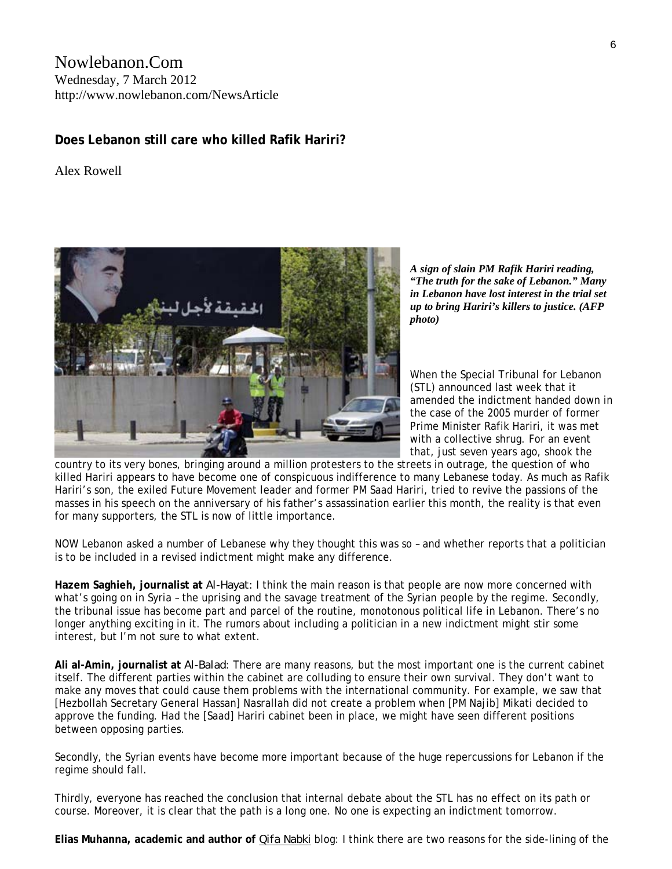## Nowlebanon.Com Wednesday, 7 March 2012 http://www.nowlebanon.com/NewsArticle

## **Does Lebanon still care who killed Rafik Hariri?**

Alex Rowell



*A sign of slain PM Rafik Hariri reading, "The truth for the sake of Lebanon." Many in Lebanon have lost interest in the trial set up to bring Hariri's killers to justice. (AFP photo)* 

When the Special Tribunal for Lebanon (STL) announced last week that it amended the indictment handed down in the case of the 2005 murder of former Prime Minister Rafik Hariri, it was met with a collective shrug. For an event that, just seven years ago, shook the

country to its very bones, bringing around a million protesters to the streets in outrage, the question of who killed Hariri appears to have become one of conspicuous indifference to many Lebanese today. As much as Rafik Hariri's son, the exiled Future Movement leader and former PM Saad Hariri, tried to revive the passions of the masses in his speech on the anniversary of his father's assassination earlier this month, the reality is that even for many supporters, the STL is now of little importance.

NOW Lebanon asked a number of Lebanese why they thought this was so – and whether [reports](http://www.dailystar.com.lb/News/Local-News/2012/Feb-21/164100-politician-fifth-suspect-in-hariri-assassination-report.ashx#axzz1mxKrMDlf) that a politician is to be included in a revised indictment might make any difference.

**Hazem Saghieh, journalist at** *Al-Hayat:* I think the main reason is that people are now more concerned with what's going on in Syria – the uprising and the savage treatment of the Syrian people by the regime. Secondly, the tribunal issue has become part and parcel of the routine, monotonous political life in Lebanon. There's no longer anything exciting in it. The rumors about including a politician in a new indictment might stir some interest, but I'm not sure to what extent.

**Ali al-Amin, journalist at** *Al-Balad*: There are many reasons, but the most important one is the current cabinet itself. The different parties within the cabinet are colluding to ensure their own survival. They don't want to make any moves that could cause them problems with the international community. For example, we saw that [Hezbollah Secretary General Hassan] Nasrallah did not create a problem when [PM Najib] Mikati decided to approve the funding. Had the [Saad] Hariri cabinet been in place, we might have seen different positions between opposing parties.

Secondly, the Syrian events have become more important because of the huge repercussions for Lebanon if the regime should fall.

Thirdly, everyone has reached the conclusion that internal debate about the STL has no effect on its path or course. Moreover, it is clear that the path is a long one. No one is expecting an indictment tomorrow.

**Elias Muhanna, academic and author of** *[Qifa Nabki](http://qifanabki.com/)* blog: I think there are two reasons for the side-lining of the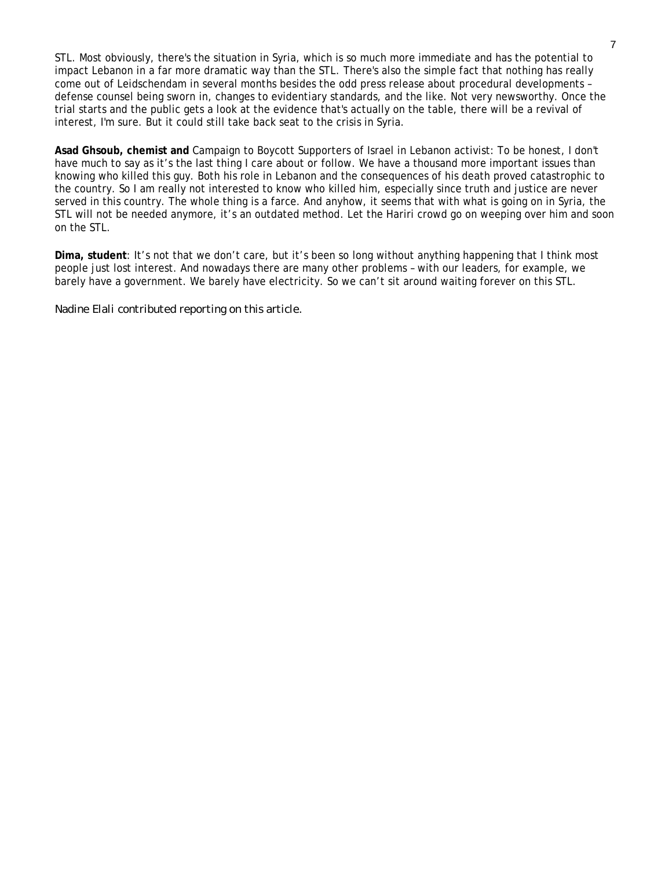STL. Most obviously, there's the situation in Syria, which is so much more immediate and has the potential to impact Lebanon in a far more dramatic way than the STL. There's also the simple fact that nothing has really come out of Leidschendam in several months besides the odd press release about procedural developments – defense counsel being sworn in, changes to evidentiary standards, and the like. Not very newsworthy. Once the trial starts and the public gets a look at the evidence that's actually on the table, there will be a revival of interest, I'm sure. But it could still take back seat to the crisis in Syria.

**Asad Ghsoub, chemist and** [Campaign to Boycott Supporters of Israel in Lebanon](http://www.facebook.com/pages/Campaign-to-Boycott-Supporters-of-Israel-in-Lebanon/228861463864557) activist: To be honest, I don't have much to say as it's the last thing I care about or follow. We have a thousand more important issues than knowing who killed this guy. Both his role in Lebanon and the consequences of his death proved catastrophic to the country. So I am really not interested to know who killed him, especially since truth and justice are never served in this country. The whole thing is a farce. And anyhow, it seems that with what is going on in Syria, the STL will not be needed anymore, it's an outdated method. Let the Hariri crowd go on weeping over him and soon on the STL.

**Dima, student**: It's not that we don't care, but it's been so long without anything happening that I think most people just lost interest. And nowadays there are many other problems – with our leaders, for example, we barely have a government. We barely have electricity. So we can't sit around waiting forever on this STL.

*Nadine Elali contributed reporting on this article.*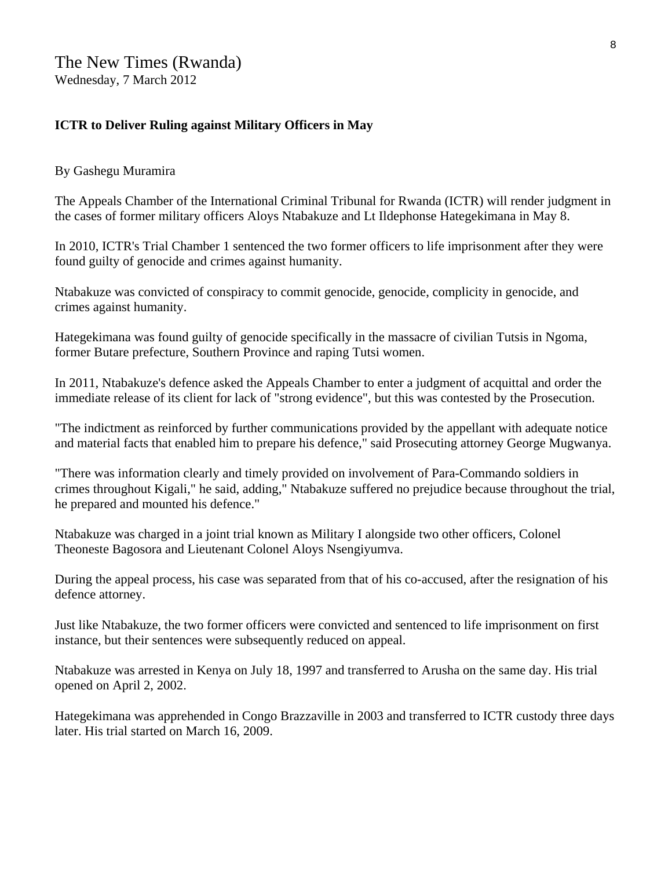## **ICTR to Deliver Ruling against Military Officers in May**

#### By Gashegu Muramira

The Appeals Chamber of the International Criminal Tribunal for Rwanda (ICTR) will render judgment in the cases of former military officers Aloys Ntabakuze and Lt Ildephonse Hategekimana in May 8.

In 2010, ICTR's Trial Chamber 1 sentenced the two former officers to life imprisonment after they were found guilty of genocide and crimes against humanity.

Ntabakuze was convicted of conspiracy to commit genocide, genocide, complicity in genocide, and crimes against humanity.

Hategekimana was found guilty of genocide specifically in the massacre of civilian Tutsis in Ngoma, former Butare prefecture, Southern Province and raping Tutsi women.

In 2011, Ntabakuze's defence asked the Appeals Chamber to enter a judgment of acquittal and order the immediate release of its client for lack of "strong evidence", but this was contested by the Prosecution.

"The indictment as reinforced by further communications provided by the appellant with adequate notice and material facts that enabled him to prepare his defence," said Prosecuting attorney George Mugwanya.

"There was information clearly and timely provided on involvement of Para-Commando soldiers in crimes throughout Kigali," he said, adding," Ntabakuze suffered no prejudice because throughout the trial, he prepared and mounted his defence."

Ntabakuze was charged in a joint trial known as Military I alongside two other officers, Colonel Theoneste Bagosora and Lieutenant Colonel Aloys Nsengiyumva.

During the appeal process, his case was separated from that of his co-accused, after the resignation of his defence attorney.

Just like Ntabakuze, the two former officers were convicted and sentenced to life imprisonment on first instance, but their sentences were subsequently reduced on appeal.

Ntabakuze was arrested in Kenya on July 18, 1997 and transferred to Arusha on the same day. His trial opened on April 2, 2002.

Hategekimana was apprehended in Congo Brazzaville in 2003 and transferred to ICTR custody three days later. His trial started on March 16, 2009.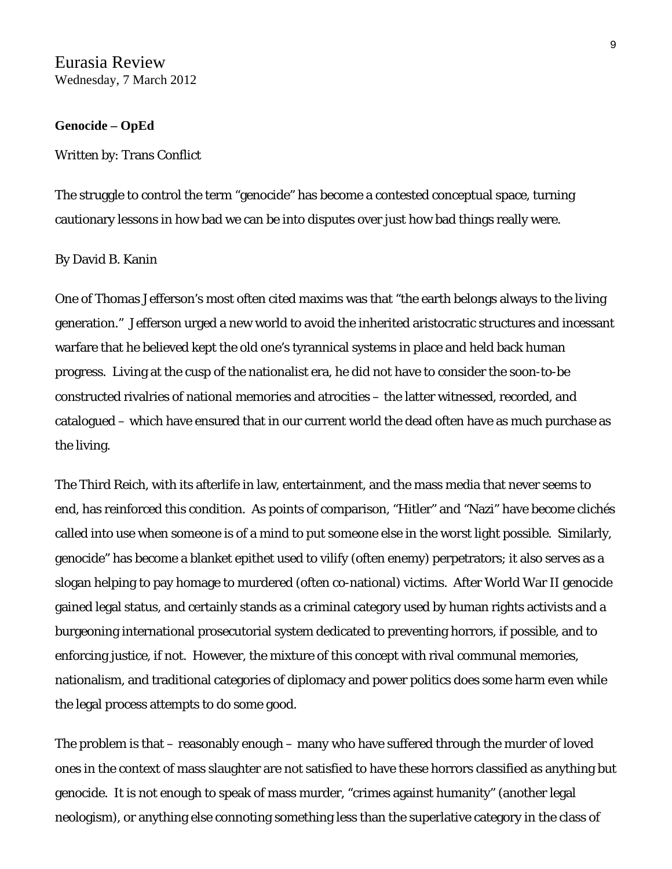#### **Genocide – OpEd**

#### Written by: [Trans Conflict](http://www.eurasiareview.com/author/transconflict/)

The struggle to control the term "genocide" has become a contested conceptual space, turning cautionary lessons in how bad we can be into disputes over just how bad things really were.

#### By David B. Kanin

One of Thomas Jefferson's most often cited maxims was that "the earth belongs always to the living generation." Jefferson urged a new world to avoid the inherited aristocratic structures and incessant warfare that he believed kept the old one's tyrannical systems in place and held back human progress. Living at the cusp of the nationalist era, he did not have to consider the soon-to-be constructed rivalries of national memories and atrocities – the latter witnessed, recorded, and catalogued – which have ensured that in our current world the dead often have as much purchase as the living.

The Third Reich, with its afterlife in law, entertainment, and the mass media that never seems to end, has reinforced this condition. As points of comparison, "Hitler" and "Nazi" have become clichés called into use when someone is of a mind to put someone else in the worst light possible. Similarly, genocide" has become a blanket epithet used to vilify (often enemy) perpetrators; it also serves as a slogan helping to pay homage to murdered (often co-national) victims. After World War II genocide gained legal status, and certainly stands as a criminal category used by human rights activists and a burgeoning international prosecutorial system dedicated to preventing horrors, if possible, and to enforcing justice, if not. However, the mixture of this concept with rival communal memories, nationalism, and traditional categories of diplomacy and power politics does some harm even while the legal process attempts to do some good.

The problem is that – reasonably enough – many who have suffered through the murder of loved ones in the context of mass slaughter are not satisfied to have these horrors classified as anything but genocide. It is not enough to speak of mass murder, "crimes against humanity" (another legal neologism), or anything else connoting something less than the superlative category in the class of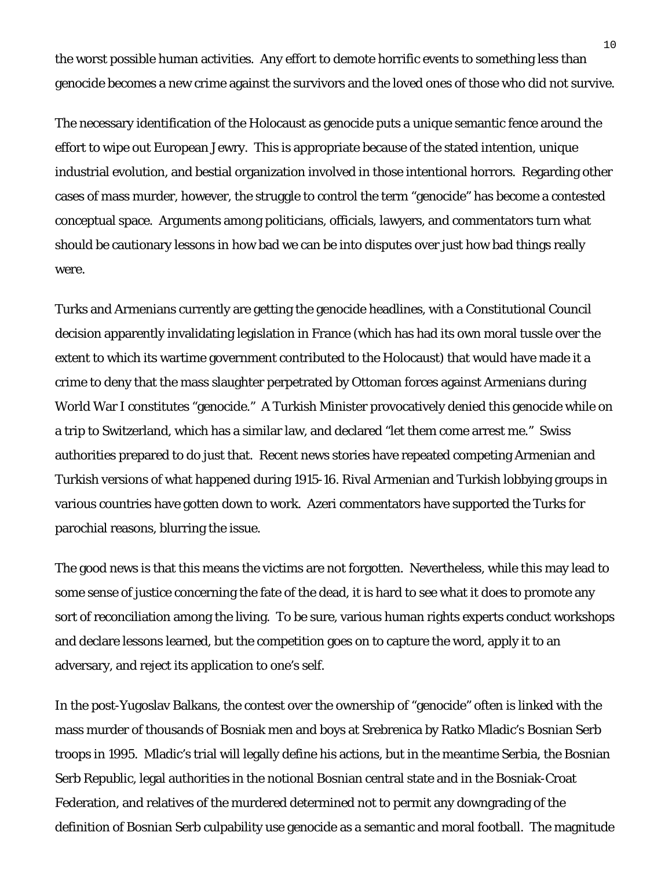the worst possible human activities. Any effort to demote horrific events to something less than genocide becomes a new crime against the survivors and the loved ones of those who did not survive.

The necessary identification of the Holocaust as genocide puts a unique semantic fence around the effort to wipe out European Jewry. This is appropriate because of the stated intention, unique industrial evolution, and bestial organization involved in those intentional horrors. Regarding other cases of mass murder, however, the struggle to control the term "genocide" has become a contested conceptual space. Arguments among politicians, officials, lawyers, and commentators turn what should be cautionary lessons in how bad we can be into disputes over just how bad things really were.

Turks and Armenians currently are getting the genocide headlines, with a Constitutional Council decision apparently invalidating legislation in France (which has had its own moral tussle over the extent to which its wartime government contributed to the Holocaust) that would have made it a crime to deny that the mass slaughter perpetrated by Ottoman forces against Armenians during World War I constitutes "genocide." A Turkish Minister provocatively denied this genocide while on a trip to Switzerland, which has a similar law, and declared "let them come arrest me." Swiss authorities prepared to do just that. Recent news stories have repeated competing Armenian and Turkish versions of what happened during 1915-16. Rival Armenian and Turkish lobbying groups in various countries have gotten down to work. Azeri commentators have supported the Turks for parochial reasons, blurring the issue.

The good news is that this means the victims are not forgotten. Nevertheless, while this may lead to some sense of justice concerning the fate of the dead, it is hard to see what it does to promote any sort of reconciliation among the living. To be sure, various human rights experts conduct workshops and declare lessons learned, but the competition goes on to capture the word, apply it to an adversary, and reject its application to one's self.

In the post-Yugoslav Balkans, the contest over the ownership of "genocide" often is linked with the mass murder of thousands of Bosniak men and boys at Srebrenica by Ratko Mladic's Bosnian Serb troops in 1995. Mladic's trial will legally define his actions, but in the meantime Serbia, the Bosnian Serb Republic, legal authorities in the notional Bosnian central state and in the Bosniak-Croat Federation, and relatives of the murdered determined not to permit any downgrading of the definition of Bosnian Serb culpability use genocide as a semantic and moral football. The magnitude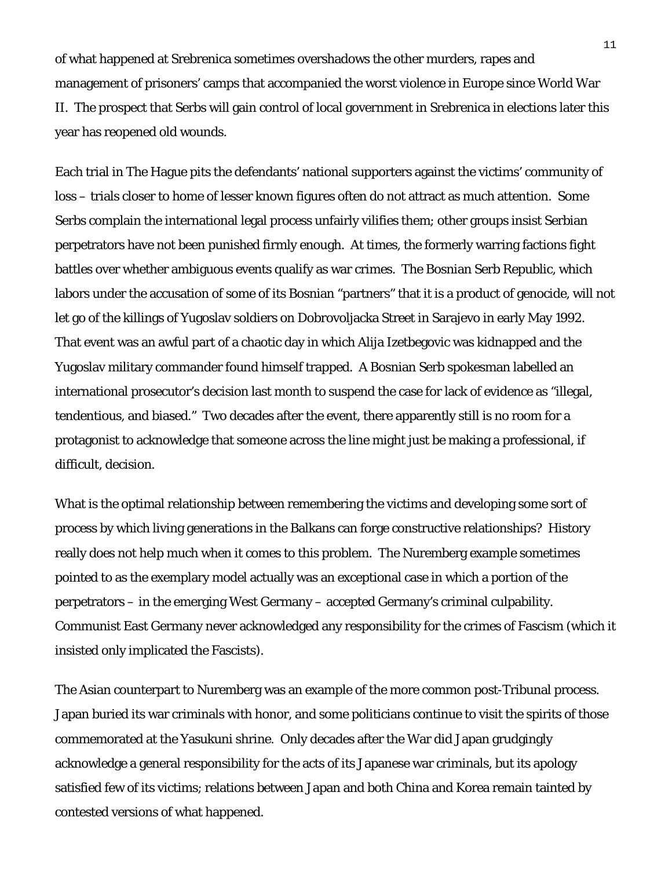of what happened at Srebrenica sometimes overshadows the other murders, rapes and management of prisoners' camps that accompanied the worst violence in Europe since World War II. The prospect that Serbs will gain control of local government in Srebrenica in elections later this year has reopened old wounds.

Each trial in The Hague pits the defendants' national supporters against the victims' community of loss – trials closer to home of lesser known figures often do not attract as much attention. Some Serbs complain the international legal process unfairly vilifies them; other groups insist Serbian perpetrators have not been punished firmly enough. At times, the formerly warring factions fight battles over whether ambiguous events qualify as war crimes. The Bosnian Serb Republic, which labors under the accusation of some of its Bosnian "partners" that it is a product of genocide, will not let go of the killings of Yugoslav soldiers on Dobrovoljacka Street in Sarajevo in early May 1992. That event was an awful part of a chaotic day in which Alija Izetbegovic was kidnapped and the Yugoslav military commander found himself trapped. A Bosnian Serb spokesman labelled an international prosecutor's decision last month to suspend the case for lack of evidence as "illegal, tendentious, and biased." Two decades after the event, there apparently still is no room for a protagonist to acknowledge that someone across the line might just be making a professional, if difficult, decision.

What is the optimal relationship between remembering the victims and developing some sort of process by which living generations in the Balkans can forge constructive relationships? History really does not help much when it comes to this problem. The Nuremberg example sometimes pointed to as the exemplary model actually was an exceptional case in which a portion of the perpetrators – in the emerging West Germany – accepted Germany's criminal culpability. Communist East Germany never acknowledged any responsibility for the crimes of Fascism (which it insisted only implicated the Fascists).

The Asian counterpart to Nuremberg was an example of the more common post-Tribunal process. Japan buried its war criminals with honor, and some politicians continue to visit the spirits of those commemorated at the Yasukuni shrine. Only decades after the War did Japan grudgingly acknowledge a general responsibility for the acts of its Japanese war criminals, but its apology satisfied few of its victims; relations between Japan and both China and Korea remain tainted by contested versions of what happened.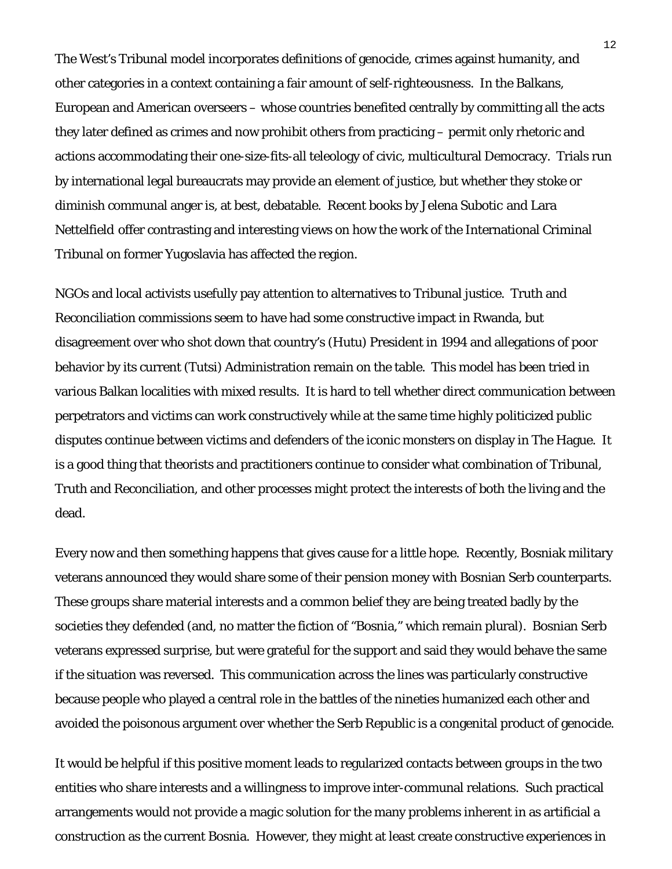The West's Tribunal model incorporates definitions of genocide, crimes against humanity, and other categories in a context containing a fair amount of self-righteousness. In the Balkans, European and American overseers – whose countries benefited centrally by committing all the acts they later defined as crimes and now prohibit others from practicing – permit only rhetoric and actions accommodating their one-size-fits-all teleology of civic, multicultural Democracy. Trials run by international legal bureaucrats may provide an element of justice, but whether they stoke or diminish communal anger is, at best, debatable. Recent books by Jelena Subotic and [Lara](http://www.amazon.co.uk/gp/product/0521763800/ref=as_li_tf_tl?ie=UTF8&tag=transc-21&linkCode=as2&camp=1634&creative=6738&creativeASIN=0521763800)  [Nettelfield](http://www.amazon.co.uk/gp/product/0521763800/ref=as_li_tf_tl?ie=UTF8&tag=transc-21&linkCode=as2&camp=1634&creative=6738&creativeASIN=0521763800) offer contrasting and interesting views on how the work of the International Criminal Tribunal on former Yugoslavia has affected the region.

NGOs and local activists usefully pay attention to alternatives to Tribunal justice. Truth and Reconciliation commissions seem to have had some constructive impact in Rwanda, but disagreement over who shot down that country's (Hutu) President in 1994 and allegations of poor behavior by its current (Tutsi) Administration remain on the table. This model has been tried in various Balkan localities with mixed results. It is hard to tell whether direct communication between perpetrators and victims can work constructively while at the same time highly politicized public disputes continue between victims and defenders of the iconic monsters on display in The Hague. It is a good thing that theorists and practitioners continue to consider what combination of Tribunal, Truth and Reconciliation, and other processes might protect the interests of both the living and the dead.

Every now and then something happens that gives cause for a little hope. Recently, Bosniak military veterans announced they would share some of their pension money with Bosnian Serb counterparts. These groups share material interests and a common belief they are being treated badly by the societies they defended (and, no matter the fiction of "Bosnia," which remain plural). Bosnian Serb veterans expressed surprise, but were grateful for the support and said they would behave the same if the situation was reversed. This communication across the lines was particularly constructive because people who played a central role in the battles of the nineties humanized each other and avoided the poisonous argument over whether the Serb Republic is a congenital product of genocide.

It would be helpful if this positive moment leads to regularized contacts between groups in the two entities who share interests and a willingness to improve inter-communal relations. Such practical arrangements would not provide a magic solution for the many problems inherent in as artificial a construction as the current Bosnia. However, they might at least create constructive experiences in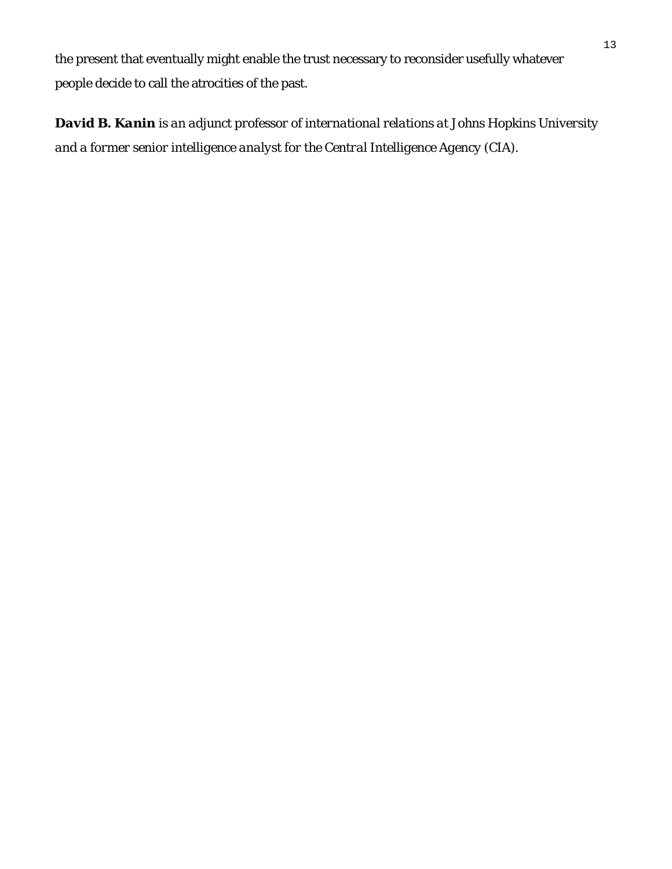the present that eventually might enable the trust necessary to reconsider usefully whatever people decide to call the atrocities of the past.

*David B. Kanin is an adjunct professor of international relations at Johns Hopkins University and a former senior intelligence analyst for the Central Intelligence Agency (CIA).*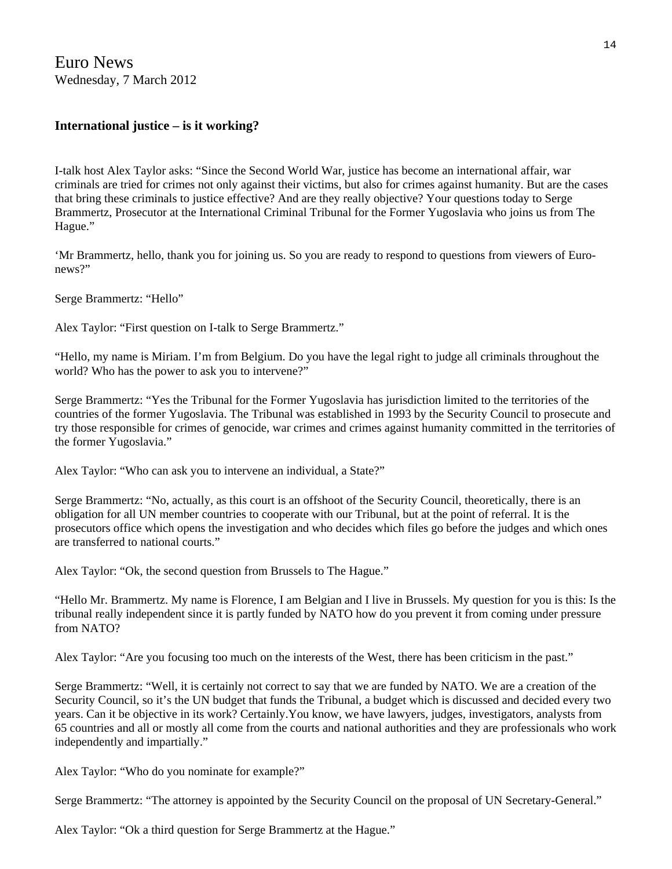Euro News Wednesday, 7 March 2012

#### **International justice – is it working?**

I-talk host Alex Taylor asks: "Since the Second World War, justice has become an international affair, war criminals are tried for crimes not only against their victims, but also for crimes against humanity. But are the cases that bring these criminals to justice effective? And are they really objective? Your questions today to Serge Brammertz, Prosecutor at the International Criminal Tribunal for the Former Yugoslavia who joins us from The Hague."

'Mr Brammertz, hello, thank you for joining us. So you are ready to respond to questions from viewers of Euronews?"

Serge Brammertz: "Hello"

Alex Taylor: "First question on I-talk to Serge Brammertz."

"Hello, my name is Miriam. I'm from Belgium. Do you have the legal right to judge all criminals throughout the world? Who has the power to ask you to intervene?"

Serge Brammertz: "Yes the Tribunal for the Former Yugoslavia has jurisdiction limited to the territories of the countries of the former Yugoslavia. The Tribunal was established in 1993 by the Security Council to prosecute and try those responsible for crimes of genocide, war crimes and crimes against humanity committed in the territories of the former Yugoslavia."

Alex Taylor: "Who can ask you to intervene an individual, a State?"

Serge Brammertz: "No, actually, as this court is an offshoot of the Security Council, theoretically, there is an obligation for all UN member countries to cooperate with our Tribunal, but at the point of referral. It is the prosecutors office which opens the investigation and who decides which files go before the judges and which ones are transferred to national courts."

Alex Taylor: "Ok, the second question from Brussels to The Hague."

"Hello Mr. Brammertz. My name is Florence, I am Belgian and I live in Brussels. My question for you is this: Is the tribunal really independent since it is partly funded by NATO how do you prevent it from coming under pressure from NATO?

Alex Taylor: "Are you focusing too much on the interests of the West, there has been criticism in the past."

Serge Brammertz: "Well, it is certainly not correct to say that we are funded by NATO. We are a creation of the Security Council, so it's the UN budget that funds the Tribunal, a budget which is discussed and decided every two years. Can it be objective in its work? Certainly.You know, we have lawyers, judges, investigators, analysts from 65 countries and all or mostly all come from the courts and national authorities and they are professionals who work independently and impartially."

Alex Taylor: "Who do you nominate for example?"

Serge Brammertz: "The attorney is appointed by the Security Council on the proposal of UN Secretary-General."

Alex Taylor: "Ok a third question for Serge Brammertz at the Hague."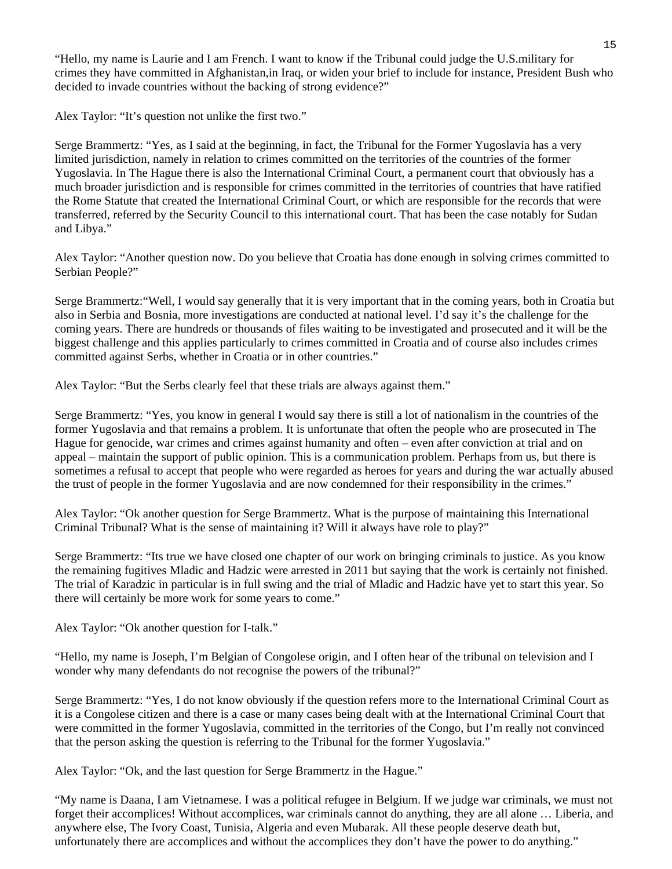"Hello, my name is Laurie and I am French. I want to know if the Tribunal could judge the U.S.military for crimes they have committed in Afghanistan,in Iraq, or widen your brief to include for instance, President Bush who decided to invade countries without the backing of strong evidence?"

Alex Taylor: "It's question not unlike the first two."

Serge Brammertz: "Yes, as I said at the beginning, in fact, the Tribunal for the Former Yugoslavia has a very limited jurisdiction, namely in relation to crimes committed on the territories of the countries of the former Yugoslavia. In The Hague there is also the International Criminal Court, a permanent court that obviously has a much broader jurisdiction and is responsible for crimes committed in the territories of countries that have ratified the Rome Statute that created the International Criminal Court, or which are responsible for the records that were transferred, referred by the Security Council to this international court. That has been the case notably for Sudan and Libya."

Alex Taylor: "Another question now. Do you believe that Croatia has done enough in solving crimes committed to Serbian People?"

Serge Brammertz:"Well, I would say generally that it is very important that in the coming years, both in Croatia but also in Serbia and Bosnia, more investigations are conducted at national level. I'd say it's the challenge for the coming years. There are hundreds or thousands of files waiting to be investigated and prosecuted and it will be the biggest challenge and this applies particularly to crimes committed in Croatia and of course also includes crimes committed against Serbs, whether in Croatia or in other countries."

Alex Taylor: "But the Serbs clearly feel that these trials are always against them."

Serge Brammertz: "Yes, you know in general I would say there is still a lot of nationalism in the countries of the former Yugoslavia and that remains a problem. It is unfortunate that often the people who are prosecuted in The Hague for genocide, war crimes and crimes against humanity and often – even after conviction at trial and on appeal – maintain the support of public opinion. This is a communication problem. Perhaps from us, but there is sometimes a refusal to accept that people who were regarded as heroes for years and during the war actually abused the trust of people in the former Yugoslavia and are now condemned for their responsibility in the crimes."

Alex Taylor: "Ok another question for Serge Brammertz. What is the purpose of maintaining this International Criminal Tribunal? What is the sense of maintaining it? Will it always have role to play?"

Serge Brammertz: "Its true we have closed one chapter of our work on bringing criminals to justice. As you know the remaining fugitives Mladic and Hadzic were arrested in 2011 but saying that the work is certainly not finished. The trial of Karadzic in particular is in full swing and the trial of Mladic and Hadzic have yet to start this year. So there will certainly be more work for some years to come."

Alex Taylor: "Ok another question for I-talk."

"Hello, my name is Joseph, I'm Belgian of Congolese origin, and I often hear of the tribunal on television and I wonder why many defendants do not recognise the powers of the tribunal?"

Serge Brammertz: "Yes, I do not know obviously if the question refers more to the International Criminal Court as it is a Congolese citizen and there is a case or many cases being dealt with at the International Criminal Court that were committed in the former Yugoslavia, committed in the territories of the Congo, but I'm really not convinced that the person asking the question is referring to the Tribunal for the former Yugoslavia."

Alex Taylor: "Ok, and the last question for Serge Brammertz in the Hague."

"My name is Daana, I am Vietnamese. I was a political refugee in Belgium. If we judge war criminals, we must not forget their accomplices! Without accomplices, war criminals cannot do anything, they are all alone … Liberia, and anywhere else, The Ivory Coast, Tunisia, Algeria and even Mubarak. All these people deserve death but, unfortunately there are accomplices and without the accomplices they don't have the power to do anything."